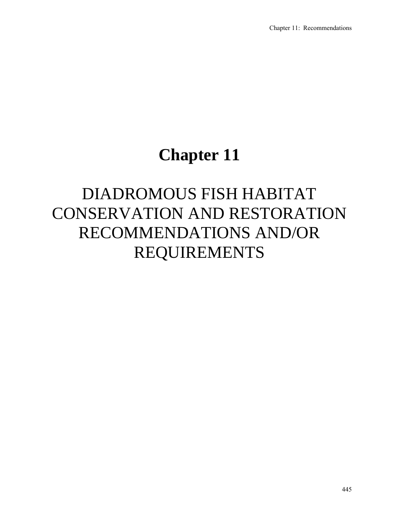## **Chapter 11**

# DIADROMOUS FISH HABITAT CONSERVATION AND RESTORATION RECOMMENDATIONS AND/OR REQUIREMENTS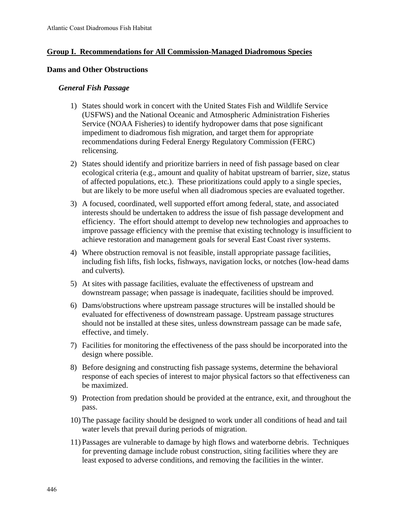## **Group I. Recommendations for All Commission-Managed Diadromous Species**

#### **Dams and Other Obstructions**

#### *General Fish Passage*

- 1) States should work in concert with the United States Fish and Wildlife Service (USFWS) and the National Oceanic and Atmospheric Administration Fisheries Service (NOAA Fisheries) to identify hydropower dams that pose significant impediment to diadromous fish migration, and target them for appropriate recommendations during Federal Energy Regulatory Commission (FERC) relicensing.
- 2) States should identify and prioritize barriers in need of fish passage based on clear ecological criteria (e.g., amount and quality of habitat upstream of barrier, size, status of affected populations, etc.). These prioritizations could apply to a single species, but are likely to be more useful when all diadromous species are evaluated together.
- 3) A focused, coordinated, well supported effort among federal, state, and associated interests should be undertaken to address the issue of fish passage development and efficiency. The effort should attempt to develop new technologies and approaches to improve passage efficiency with the premise that existing technology is insufficient to achieve restoration and management goals for several East Coast river systems.
- 4) Where obstruction removal is not feasible, install appropriate passage facilities, including fish lifts, fish locks, fishways, navigation locks, or notches (low-head dams and culverts).
- 5) At sites with passage facilities, evaluate the effectiveness of upstream and downstream passage; when passage is inadequate, facilities should be improved.
- 6) Dams/obstructions where upstream passage structures will be installed should be evaluated for effectiveness of downstream passage. Upstream passage structures should not be installed at these sites, unless downstream passage can be made safe, effective, and timely.
- 7) Facilities for monitoring the effectiveness of the pass should be incorporated into the design where possible.
- 8) Before designing and constructing fish passage systems, determine the behavioral response of each species of interest to major physical factors so that effectiveness can be maximized.
- 9) Protection from predation should be provided at the entrance, exit, and throughout the pass.
- 10) The passage facility should be designed to work under all conditions of head and tail water levels that prevail during periods of migration.
- 11) Passages are vulnerable to damage by high flows and waterborne debris. Techniques for preventing damage include robust construction, siting facilities where they are least exposed to adverse conditions, and removing the facilities in the winter.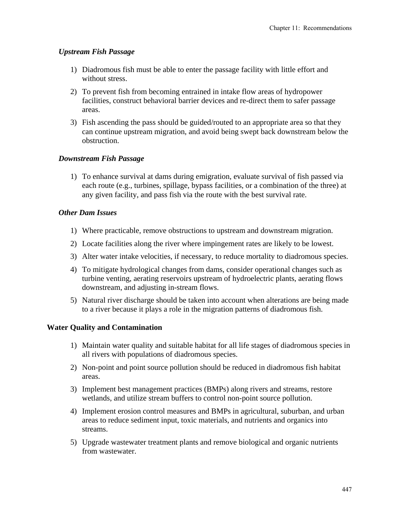## *Upstream Fish Passage*

- 1) Diadromous fish must be able to enter the passage facility with little effort and without stress.
- 2) To prevent fish from becoming entrained in intake flow areas of hydropower facilities, construct behavioral barrier devices and re-direct them to safer passage areas.
- 3) Fish ascending the pass should be guided/routed to an appropriate area so that they can continue upstream migration, and avoid being swept back downstream below the obstruction.

## *Downstream Fish Passage*

1) To enhance survival at dams during emigration, evaluate survival of fish passed via each route (e.g., turbines, spillage, bypass facilities, or a combination of the three) at any given facility, and pass fish via the route with the best survival rate.

## *Other Dam Issues*

- 1) Where practicable, remove obstructions to upstream and downstream migration.
- 2) Locate facilities along the river where impingement rates are likely to be lowest.
- 3) Alter water intake velocities, if necessary, to reduce mortality to diadromous species.
- 4) To mitigate hydrological changes from dams, consider operational changes such as turbine venting, aerating reservoirs upstream of hydroelectric plants, aerating flows downstream, and adjusting in-stream flows.
- 5) Natural river discharge should be taken into account when alterations are being made to a river because it plays a role in the migration patterns of diadromous fish.

#### **Water Quality and Contamination**

- 1) Maintain water quality and suitable habitat for all life stages of diadromous species in all rivers with populations of diadromous species.
- 2) Non-point and point source pollution should be reduced in diadromous fish habitat areas.
- 3) Implement best management practices (BMPs) along rivers and streams, restore wetlands, and utilize stream buffers to control non-point source pollution.
- 4) Implement erosion control measures and BMPs in agricultural, suburban, and urban areas to reduce sediment input, toxic materials, and nutrients and organics into streams.
- 5) Upgrade wastewater treatment plants and remove biological and organic nutrients from wastewater.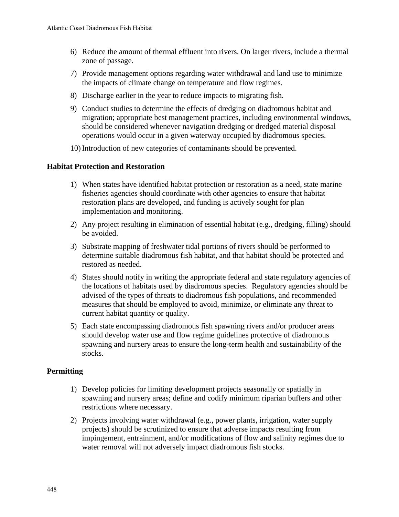- 6) Reduce the amount of thermal effluent into rivers. On larger rivers, include a thermal zone of passage.
- 7) Provide management options regarding water withdrawal and land use to minimize the impacts of climate change on temperature and flow regimes.
- 8) Discharge earlier in the year to reduce impacts to migrating fish.
- 9) Conduct studies to determine the effects of dredging on diadromous habitat and migration; appropriate best management practices, including environmental windows, should be considered whenever navigation dredging or dredged material disposal operations would occur in a given waterway occupied by diadromous species.
- 10) Introduction of new categories of contaminants should be prevented.

## **Habitat Protection and Restoration**

- 1) When states have identified habitat protection or restoration as a need, state marine fisheries agencies should coordinate with other agencies to ensure that habitat restoration plans are developed, and funding is actively sought for plan implementation and monitoring.
- 2) Any project resulting in elimination of essential habitat (e.g., dredging, filling) should be avoided.
- 3) Substrate mapping of freshwater tidal portions of rivers should be performed to determine suitable diadromous fish habitat, and that habitat should be protected and restored as needed.
- 4) States should notify in writing the appropriate federal and state regulatory agencies of the locations of habitats used by diadromous species. Regulatory agencies should be advised of the types of threats to diadromous fish populations, and recommended measures that should be employed to avoid, minimize, or eliminate any threat to current habitat quantity or quality.
- 5) Each state encompassing diadromous fish spawning rivers and/or producer areas should develop water use and flow regime guidelines protective of diadromous spawning and nursery areas to ensure the long-term health and sustainability of the stocks.

## **Permitting**

- 1) Develop policies for limiting development projects seasonally or spatially in spawning and nursery areas; define and codify minimum riparian buffers and other restrictions where necessary.
- 2) Projects involving water withdrawal (e.g., power plants, irrigation, water supply projects) should be scrutinized to ensure that adverse impacts resulting from impingement, entrainment, and/or modifications of flow and salinity regimes due to water removal will not adversely impact diadromous fish stocks.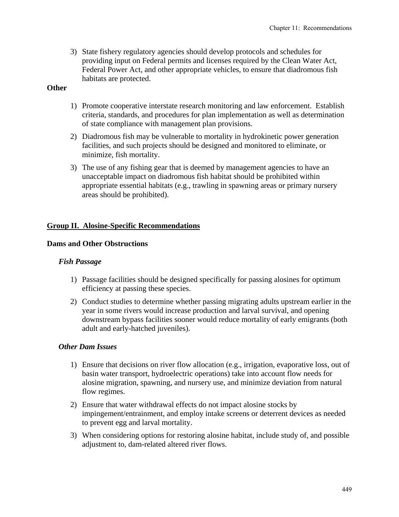3) State fishery regulatory agencies should develop protocols and schedules for providing input on Federal permits and licenses required by the Clean Water Act, Federal Power Act, and other appropriate vehicles, to ensure that diadromous fish habitats are protected.

## **Other**

- 1) Promote cooperative interstate research monitoring and law enforcement. Establish criteria, standards, and procedures for plan implementation as well as determination of state compliance with management plan provisions.
- 2) Diadromous fish may be vulnerable to mortality in hydrokinetic power generation facilities, and such projects should be designed and monitored to eliminate, or minimize, fish mortality.
- 3) The use of any fishing gear that is deemed by management agencies to have an unacceptable impact on diadromous fish habitat should be prohibited within appropriate essential habitats (e.g., trawling in spawning areas or primary nursery areas should be prohibited).

## **Group II. Alosine-Specific Recommendations**

#### **Dams and Other Obstructions**

#### *Fish Passage*

- 1) Passage facilities should be designed specifically for passing alosines for optimum efficiency at passing these species.
- 2) Conduct studies to determine whether passing migrating adults upstream earlier in the year in some rivers would increase production and larval survival, and opening downstream bypass facilities sooner would reduce mortality of early emigrants (both adult and early-hatched juveniles).

#### *Other Dam Issues*

- 1) Ensure that decisions on river flow allocation (e.g., irrigation, evaporative loss, out of basin water transport, hydroelectric operations) take into account flow needs for alosine migration, spawning, and nursery use, and minimize deviation from natural flow regimes.
- 2) Ensure that water withdrawal effects do not impact alosine stocks by impingement/entrainment, and employ intake screens or deterrent devices as needed to prevent egg and larval mortality.
- 3) When considering options for restoring alosine habitat, include study of, and possible adjustment to, dam-related altered river flows.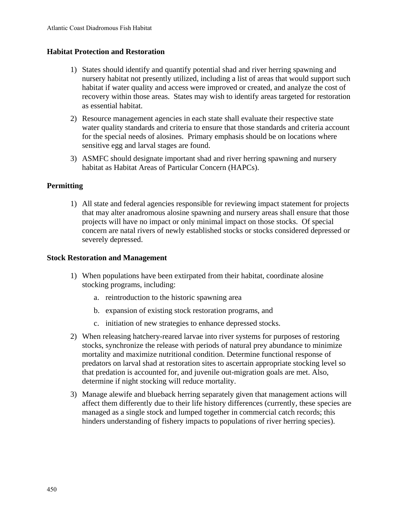## **Habitat Protection and Restoration**

- 1) States should identify and quantify potential shad and river herring spawning and nursery habitat not presently utilized, including a list of areas that would support such habitat if water quality and access were improved or created, and analyze the cost of recovery within those areas. States may wish to identify areas targeted for restoration as essential habitat.
- 2) Resource management agencies in each state shall evaluate their respective state water quality standards and criteria to ensure that those standards and criteria account for the special needs of alosines. Primary emphasis should be on locations where sensitive egg and larval stages are found.
- 3) ASMFC should designate important shad and river herring spawning and nursery habitat as Habitat Areas of Particular Concern (HAPCs).

## **Permitting**

1) All state and federal agencies responsible for reviewing impact statement for projects that may alter anadromous alosine spawning and nursery areas shall ensure that those projects will have no impact or only minimal impact on those stocks. Of special concern are natal rivers of newly established stocks or stocks considered depressed or severely depressed.

#### **Stock Restoration and Management**

- 1) When populations have been extirpated from their habitat, coordinate alosine stocking programs, including:
	- a. reintroduction to the historic spawning area
	- b. expansion of existing stock restoration programs, and
	- c. initiation of new strategies to enhance depressed stocks.
- 2) When releasing hatchery-reared larvae into river systems for purposes of restoring stocks, synchronize the release with periods of natural prey abundance to minimize mortality and maximize nutritional condition. Determine functional response of predators on larval shad at restoration sites to ascertain appropriate stocking level so that predation is accounted for, and juvenile out-migration goals are met. Also, determine if night stocking will reduce mortality.
- 3) Manage alewife and blueback herring separately given that management actions will affect them differently due to their life history differences (currently, these species are managed as a single stock and lumped together in commercial catch records; this hinders understanding of fishery impacts to populations of river herring species).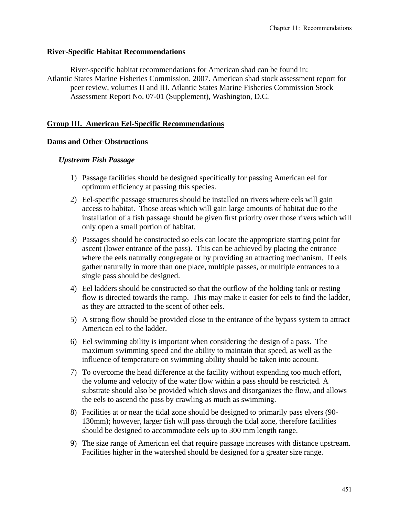#### **River-Specific Habitat Recommendations**

River-specific habitat recommendations for American shad can be found in: Atlantic States Marine Fisheries Commission. 2007. American shad stock assessment report for peer review, volumes II and III. Atlantic States Marine Fisheries Commission Stock Assessment Report No. 07-01 (Supplement), Washington, D.C.

## **Group III. American Eel-Specific Recommendations**

#### **Dams and Other Obstructions**

#### *Upstream Fish Passage*

- 1) Passage facilities should be designed specifically for passing American eel for optimum efficiency at passing this species.
- 2) Eel-specific passage structures should be installed on rivers where eels will gain access to habitat. Those areas which will gain large amounts of habitat due to the installation of a fish passage should be given first priority over those rivers which will only open a small portion of habitat.
- 3) Passages should be constructed so eels can locate the appropriate starting point for ascent (lower entrance of the pass). This can be achieved by placing the entrance where the eels naturally congregate or by providing an attracting mechanism. If eels gather naturally in more than one place, multiple passes, or multiple entrances to a single pass should be designed.
- 4) Eel ladders should be constructed so that the outflow of the holding tank or resting flow is directed towards the ramp. This may make it easier for eels to find the ladder, as they are attracted to the scent of other eels.
- 5) A strong flow should be provided close to the entrance of the bypass system to attract American eel to the ladder.
- 6) Eel swimming ability is important when considering the design of a pass. The maximum swimming speed and the ability to maintain that speed, as well as the influence of temperature on swimming ability should be taken into account.
- 7) To overcome the head difference at the facility without expending too much effort, the volume and velocity of the water flow within a pass should be restricted. A substrate should also be provided which slows and disorganizes the flow, and allows the eels to ascend the pass by crawling as much as swimming.
- 8) Facilities at or near the tidal zone should be designed to primarily pass elvers (90- 130mm); however, larger fish will pass through the tidal zone, therefore facilities should be designed to accommodate eels up to 300 mm length range.
- 9) The size range of American eel that require passage increases with distance upstream. Facilities higher in the watershed should be designed for a greater size range.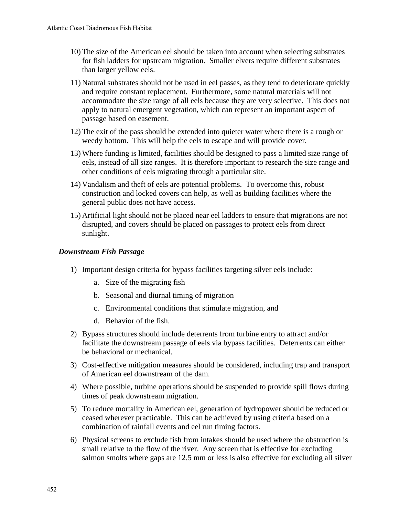- 10) The size of the American eel should be taken into account when selecting substrates for fish ladders for upstream migration. Smaller elvers require different substrates than larger yellow eels.
- 11) Natural substrates should not be used in eel passes, as they tend to deteriorate quickly and require constant replacement. Furthermore, some natural materials will not accommodate the size range of all eels because they are very selective. This does not apply to natural emergent vegetation, which can represent an important aspect of passage based on easement.
- 12) The exit of the pass should be extended into quieter water where there is a rough or weedy bottom. This will help the eels to escape and will provide cover.
- 13) Where funding is limited, facilities should be designed to pass a limited size range of eels, instead of all size ranges. It is therefore important to research the size range and other conditions of eels migrating through a particular site.
- 14) Vandalism and theft of eels are potential problems. To overcome this, robust construction and locked covers can help, as well as building facilities where the general public does not have access.
- 15) Artificial light should not be placed near eel ladders to ensure that migrations are not disrupted, and covers should be placed on passages to protect eels from direct sunlight.

## *Downstream Fish Passage*

- 1) Important design criteria for bypass facilities targeting silver eels include:
	- a. Size of the migrating fish
	- b. Seasonal and diurnal timing of migration
	- c. Environmental conditions that stimulate migration, and
	- d. Behavior of the fish.
- 2) Bypass structures should include deterrents from turbine entry to attract and/or facilitate the downstream passage of eels via bypass facilities. Deterrents can either be behavioral or mechanical.
- 3) Cost-effective mitigation measures should be considered, including trap and transport of American eel downstream of the dam.
- 4) Where possible, turbine operations should be suspended to provide spill flows during times of peak downstream migration.
- 5) To reduce mortality in American eel, generation of hydropower should be reduced or ceased wherever practicable. This can be achieved by using criteria based on a combination of rainfall events and eel run timing factors.
- 6) Physical screens to exclude fish from intakes should be used where the obstruction is small relative to the flow of the river. Any screen that is effective for excluding salmon smolts where gaps are 12.5 mm or less is also effective for excluding all silver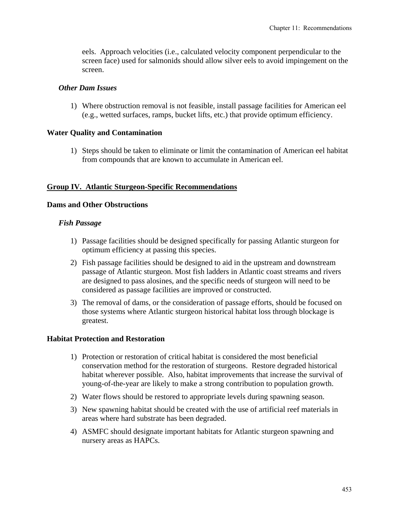eels. Approach velocities (i.e., calculated velocity component perpendicular to the screen face) used for salmonids should allow silver eels to avoid impingement on the screen.

#### *Other Dam Issues*

1) Where obstruction removal is not feasible, install passage facilities for American eel (e.g., wetted surfaces, ramps, bucket lifts, etc.) that provide optimum efficiency.

#### **Water Quality and Contamination**

1) Steps should be taken to eliminate or limit the contamination of American eel habitat from compounds that are known to accumulate in American eel.

#### **Group IV. Atlantic Sturgeon-Specific Recommendations**

#### **Dams and Other Obstructions**

#### *Fish Passage*

- 1) Passage facilities should be designed specifically for passing Atlantic sturgeon for optimum efficiency at passing this species.
- 2) Fish passage facilities should be designed to aid in the upstream and downstream passage of Atlantic sturgeon. Most fish ladders in Atlantic coast streams and rivers are designed to pass alosines, and the specific needs of sturgeon will need to be considered as passage facilities are improved or constructed.
- 3) The removal of dams, or the consideration of passage efforts, should be focused on those systems where Atlantic sturgeon historical habitat loss through blockage is greatest.

#### **Habitat Protection and Restoration**

- 1) Protection or restoration of critical habitat is considered the most beneficial conservation method for the restoration of sturgeons. Restore degraded historical habitat wherever possible. Also, habitat improvements that increase the survival of young-of-the-year are likely to make a strong contribution to population growth.
- 2) Water flows should be restored to appropriate levels during spawning season.
- 3) New spawning habitat should be created with the use of artificial reef materials in areas where hard substrate has been degraded.
- 4) ASMFC should designate important habitats for Atlantic sturgeon spawning and nursery areas as HAPCs.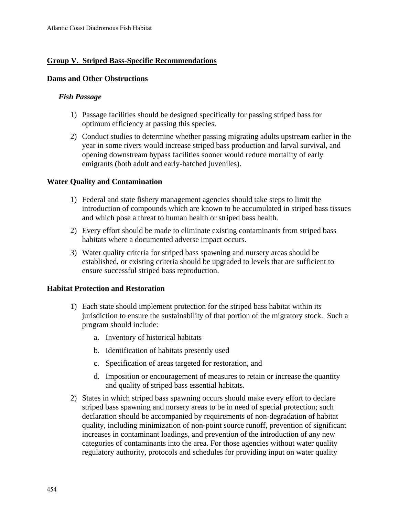## **Group V. Striped Bass-Specific Recommendations**

#### **Dams and Other Obstructions**

#### *Fish Passage*

- 1) Passage facilities should be designed specifically for passing striped bass for optimum efficiency at passing this species.
- 2) Conduct studies to determine whether passing migrating adults upstream earlier in the year in some rivers would increase striped bass production and larval survival, and opening downstream bypass facilities sooner would reduce mortality of early emigrants (both adult and early-hatched juveniles).

#### **Water Quality and Contamination**

- 1) Federal and state fishery management agencies should take steps to limit the introduction of compounds which are known to be accumulated in striped bass tissues and which pose a threat to human health or striped bass health.
- 2) Every effort should be made to eliminate existing contaminants from striped bass habitats where a documented adverse impact occurs.
- 3) Water quality criteria for striped bass spawning and nursery areas should be established, or existing criteria should be upgraded to levels that are sufficient to ensure successful striped bass reproduction.

#### **Habitat Protection and Restoration**

- 1) Each state should implement protection for the striped bass habitat within its jurisdiction to ensure the sustainability of that portion of the migratory stock. Such a program should include:
	- a. Inventory of historical habitats
	- b. Identification of habitats presently used
	- c. Specification of areas targeted for restoration, and
	- d. Imposition or encouragement of measures to retain or increase the quantity and quality of striped bass essential habitats.
- 2) States in which striped bass spawning occurs should make every effort to declare striped bass spawning and nursery areas to be in need of special protection; such declaration should be accompanied by requirements of non-degradation of habitat quality, including minimization of non-point source runoff, prevention of significant increases in contaminant loadings, and prevention of the introduction of any new categories of contaminants into the area. For those agencies without water quality regulatory authority, protocols and schedules for providing input on water quality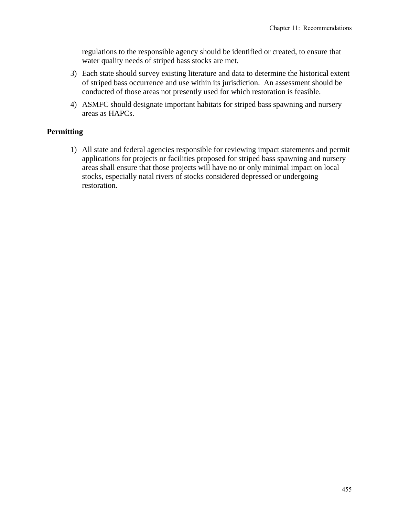regulations to the responsible agency should be identified or created, to ensure that water quality needs of striped bass stocks are met.

- 3) Each state should survey existing literature and data to determine the historical extent of striped bass occurrence and use within its jurisdiction. An assessment should be conducted of those areas not presently used for which restoration is feasible.
- 4) ASMFC should designate important habitats for striped bass spawning and nursery areas as HAPCs.

## **Permitting**

1) All state and federal agencies responsible for reviewing impact statements and permit applications for projects or facilities proposed for striped bass spawning and nursery areas shall ensure that those projects will have no or only minimal impact on local stocks, especially natal rivers of stocks considered depressed or undergoing restoration.